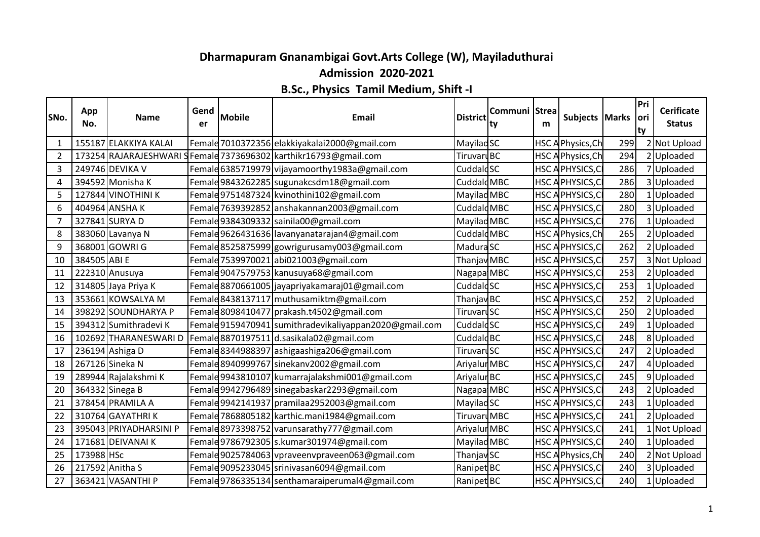## **Dharmapuram Gnanambigai Govt.Arts College (W), Mayiladuthurai Admission 2020-2021**

## **B.Sc., Physics Tamil Medium, Shift -I**

| SNo.           | App<br>No.   | <b>Name</b>            | Gend<br>er | <b>Mobile</b> | <b>Email</b>                                           | <b>District</b>        | Communi Strea<br>ty | m | Subjects   Marks         |     | Pri<br>lori<br>ty | <b>Cerificate</b><br><b>Status</b> |
|----------------|--------------|------------------------|------------|---------------|--------------------------------------------------------|------------------------|---------------------|---|--------------------------|-----|-------------------|------------------------------------|
| 1              |              | 155187 ELAKKIYA KALAI  |            |               | Female 7010372356 elakkiyakalai2000@gmail.com          | MayiladSC              |                     |   | <b>HSC A Physics, Ch</b> | 299 |                   | 2 Not Upload                       |
| $\overline{2}$ |              | 173254 RAJARAJESHWARI  |            |               | Female 7373696302 karthikr16793@gmail.com              | TiruvaruBC             |                     |   | <b>HSC APhysics, Ch</b>  | 294 |                   | 2 Uploaded                         |
| 3              |              | 249746 DEVIKA V        |            |               | Female 6385719979 vijayamoorthy 1983a@gmail.com        | Cuddald <sub>SC</sub>  |                     |   | HSC A PHYSICS, CI        | 286 |                   | 7 Uploaded                         |
| 4              |              | 394592 Monisha K       |            |               | Female 9843262285 sugunakcsdm18@gmail.com              | Cuddald <sub>MBC</sub> |                     |   | <b>HSC APHYSICS, CI</b>  | 286 |                   | 3 Uploaded                         |
| 5              |              | 127844 VINOTHINI K     |            |               | Female 9751487324 kvinothini102@gmail.com              | Mayilad MBC            |                     |   | <b>HSC APHYSICS, CI</b>  | 280 |                   | 1 Uploaded                         |
| 6              |              | 404964 ANSHAK          |            |               | Female 7639392852 anshakannan 2003@gmail.com           | Cuddald MBC            |                     |   | <b>HSC APHYSICS, CI</b>  | 280 |                   | 3 Uploaded                         |
| 7              |              | 327841 SURYA D         |            |               | Female 9384309332 sainila00@gmail.com                  | Mayilad MBC            |                     |   | <b>HSC APHYSICS, CI</b>  | 276 |                   | 1 Uploaded                         |
| 8              |              | 383060 Lavanya N       |            |               | Femald 9626431636 lavanyanatarajan4@gmail.com          | Cuddald <sub>MBC</sub> |                     |   | HSC APhysics, Ch         | 265 |                   | 2 Uploaded                         |
| 9              |              | 368001 GOWRI G         |            |               | Female 8525875999   gowrigurusamy 003@gmail.com        | Madura SC              |                     |   | <b>HSC APHYSICS, CI</b>  | 262 |                   | 2 Uploaded                         |
| 10             | 384505 ABI E |                        |            |               | Female 7539970021 abi021003@gmail.com                  | Thanjav MBC            |                     |   | <b>HSC A PHYSICS, CI</b> | 257 |                   | 3 Not Upload                       |
| 11             |              | 222310 Anusuya         |            |               | Female 9047579753 kanusuya68@gmail.com                 | Nagapa MBC             |                     |   | <b>HSC APHYSICS, CI</b>  | 253 |                   | 2 Uploaded                         |
| 12             |              | 314805 Jaya Priya K    |            |               | Female 8870661005 jayapriyakamaraj01@gmail.com         | Cuddald <sub>SC</sub>  |                     |   | HSC A PHYSICS, CI        | 253 |                   | 1 Uploaded                         |
| 13             |              | 353661 KOWSALYA M      |            |               | Female 8438137117 muthusamiktm@gmail.com               | Thanjav BC             |                     |   | <b>HSC APHYSICS, CI</b>  | 252 |                   | 2 Uploaded                         |
| 14             |              | 398292 SOUNDHARYA P    |            |               | Female 8098410477 prakash.t4502@gmail.com              | TiruvaruSC             |                     |   | HSC A PHYSICS, CI        | 250 |                   | 2 Uploaded                         |
| 15             |              | 394312 Sumithradevi K  |            |               | Female 9159470941 sumithradevikaliyappan2020@gmail.com | Cuddald <sub>SC</sub>  |                     |   | HSC A PHYSICS, CI        | 249 |                   | 1 Uploaded                         |
| 16             |              | 102692 THARANESWARI D  |            |               | Female 8870197511 d.sasikala02@gmail.com               | Cuddald <sub>BC</sub>  |                     |   | HSC APHYSICS, CI         | 248 |                   | 8 Uploaded                         |
| 17             |              | 236194 Ashiga D        |            |               | Female 8344988397 ashigaashiga 206@gmail.com           | TiruvaruSC             |                     |   | HSC A PHYSICS, CI        | 247 |                   | 2 Uploaded                         |
| 18             |              | 267126 Sineka N        |            |               | Female 8940999767 sinekanv2002@gmail.com               | Ariyalur MBC           |                     |   | HSC A PHYSICS, CI        | 247 |                   | 4 Uploaded                         |
| 19             |              | 289944 Rajalakshmi K   |            |               | Female 9943810107 kumarrajalakshmi001@gmail.com        | Ariyalur <sub>BC</sub> |                     |   | <b>HSC APHYSICS, CI</b>  | 245 |                   | 9 Uploaded                         |
| 20             |              | 364332 Sinega B        |            |               | Femald 9942796489 sinegabaskar 2293@gmail.com          | Nagapa MBC             |                     |   | HSC APHYSICS, CI         | 243 |                   | 2 Uploaded                         |
| 21             |              | 378454 PRAMILA A       |            |               | Femald 9942141937 pramilaa 2952003@gmail.com           | Mayilad <sub>SC</sub>  |                     |   | HSC APHYSICS, CI         | 243 |                   | 1 Uploaded                         |
| 22             |              | 310764 GAYATHRIK       |            |               | Female 7868805182 karthic.mani1984@gmail.com           | TiruvaruMBC            |                     |   | HSC A PHYSICS, CI        | 241 |                   | 2 Uploaded                         |
| 23             |              | 395043 PRIYADHARSINI P |            |               | Femald 8973398752 varunsarathy 777@gmail.com           | Ariyalur MBC           |                     |   | <b>HSC APHYSICS, CI</b>  | 241 |                   | 1 Not Upload                       |
| 24             |              | 171681 DEIVANAI K      |            |               | Femald 9786792305 s.kumar301974@gmail.com              | Mayilad MBC            |                     |   | HSC A PHYSICS, CI        | 240 |                   | 1 Uploaded                         |
| 25             | 173988 HSc   |                        |            |               | Female9025784063 vpraveenvpraveen063@gmail.com         | Thanjav SC             |                     |   | <b>HSC APhysics, Ch</b>  | 240 |                   | 2 Not Upload                       |
| 26             |              | 217592 Anitha S        |            |               | Femald 9095233045 srinivasan6094@gmail.com             | Ranipet <sup>BC</sup>  |                     |   | HSC A PHYSICS, CI        | 240 |                   | 3 Uploaded                         |
| 27             |              | 363421 VASANTHI P      |            |               | Female 9786335134 senthamaraiperumal4@gmail.com        | Ranipet <sup>BC</sup>  |                     |   | HSC A PHYSICS, CI        | 240 |                   | 1 Uploaded                         |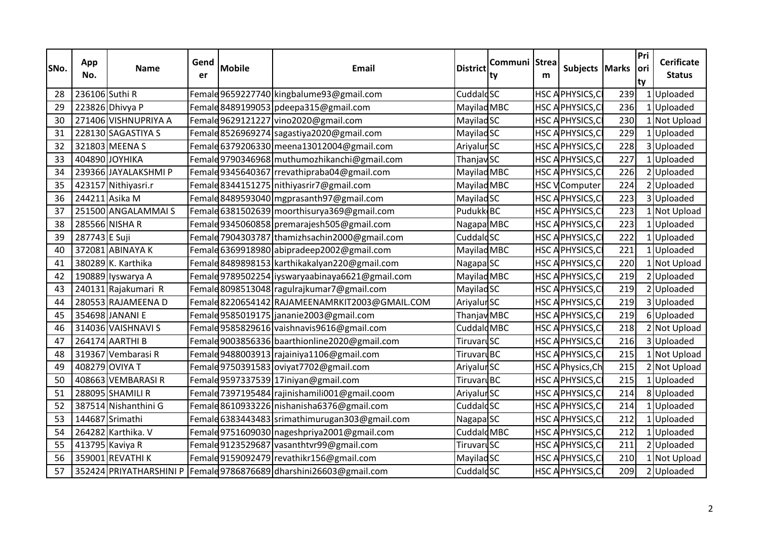| SNo. | App<br>No.     | <b>Name</b>          | Gend<br>er | <b>Mobile</b> | <b>Email</b>                                                          | <b>District</b>        | Communi Strea<br>ty | m | Subjects Marks           |     | Pri<br>lori<br>ty | <b>Cerificate</b><br><b>Status</b> |
|------|----------------|----------------------|------------|---------------|-----------------------------------------------------------------------|------------------------|---------------------|---|--------------------------|-----|-------------------|------------------------------------|
| 28   | 236106 Suthi R |                      |            |               | Female 9659227740 kingbalume93@gmail.com                              | Cuddald <sub>SC</sub>  |                     |   | <b>HSC APHYSICS, CI</b>  | 239 |                   | 1 Uploaded                         |
| 29   |                | 223826 Dhivya P      |            |               | Female 8489199053 pdeepa315@gmail.com                                 | Mayilad MBC            |                     |   | <b>HSC APHYSICS, CI</b>  | 236 |                   | 1 Uploaded                         |
| 30   |                | 271406 VISHNUPRIYA A |            |               | Female 9629121227 vino 2020@gmail.com                                 | <b>MayiladSC</b>       |                     |   | <b>HSC APHYSICS, CI</b>  | 230 |                   | 1 Not Upload                       |
| 31   |                | 228130 SAGASTIYA S   |            |               | Female 8526969274 sagastiya2020@gmail.com                             | Mayilad <sub>SC</sub>  |                     |   | HSC A PHYSICS, CI        | 229 |                   | 1 Uploaded                         |
| 32   |                | 321803 MEENA S       |            |               | Female 6379206330 meena13012004@gmail.com                             | Ariyalur <sub>SC</sub> |                     |   | <b>HSC APHYSICS, CI</b>  | 228 |                   | 3 Uploaded                         |
| 33   |                | 404890 JOYHIKA       |            |               | Femald9790346968 muthumozhikanchi@gmail.com                           | ThanjavSC              |                     |   | <b>HSC APHYSICS, CI</b>  | 227 |                   | 1 Uploaded                         |
| 34   |                | 239366 JAYALAKSHMI P |            |               | Female 9345640367 rrevathipraba04@gmail.com                           | Mayilad MBC            |                     |   | HSC APHYSICS, CI         | 226 |                   | 2 Uploaded                         |
| 35   |                | 423157 Nithiyasri.r  |            |               | Female 8344151275 nithiyasrir7@gmail.com                              | Mayilad MBC            |                     |   | <b>HSC V</b> Computer    | 224 |                   | 2 Uploaded                         |
| 36   |                | 244211 Asika M       |            |               | Female 8489593040 mgprasanth97@gmail.com                              | Mayilad <sub>SC</sub>  |                     |   | <b>HSC APHYSICS, CI</b>  | 223 |                   | 3 Uploaded                         |
| 37   |                | 251500 ANGALAMMAIS   |            |               | Female 6381502639 moorthisurya369@gmail.com                           | Pudukk BC              |                     |   | <b>HSC APHYSICS, CI</b>  | 223 |                   | 1 Not Upload                       |
| 38   |                | 285566 NISHA R       |            |               | Female 9345060858 premarajesh 505@gmail.com                           | Nagapa MBC             |                     |   | <b>HSC APHYSICS, CI</b>  | 223 |                   | 1 Uploaded                         |
| 39   | 287743 E Suji  |                      |            |               | Female 7904303787 thamizhsachin 2000@gmail.com                        | Cuddald <sub>SC</sub>  |                     |   | <b>HSC A PHYSICS, CI</b> | 222 |                   | 1 Uploaded                         |
| 40   |                | 372081 ABINAYA K     |            |               | Female 6369918980 abipradeep2002@gmail.com                            | Mayilad MBC            |                     |   | <b>HSC APHYSICS, CI</b>  | 221 |                   | 1 Uploaded                         |
| 41   |                | 380289 K. Karthika   |            |               | Femald 8489898153 karthikakalyan220@gmail.com                         | Nagapa <sup>SC</sup>   |                     |   | HSC A PHYSICS, CI        | 220 |                   | 1 Not Upload                       |
| 42   |                | 190889 Iyswarya A    |            |               | Female 9789502254 liyswaryaabinaya6621@gmail.com                      | Mayilad MBC            |                     |   | HSC A PHYSICS, CI        | 219 |                   | 2 Uploaded                         |
| 43   |                | 240131 Rajakumari R  |            |               | Female 8098513048 ragulrajkumar7@gmail.com                            | Mayilad <sub>SC</sub>  |                     |   | <b>HSC APHYSICS, CI</b>  | 219 |                   | 2 Uploaded                         |
| 44   |                | 280553 RAJAMEENA D   |            |               | Female 8220654142 RAJAMEENAMRKIT2003@GMAIL.COM                        | Ariyalur <sub>SC</sub> |                     |   | HSC A PHYSICS, C         | 219 |                   | 3 Uploaded                         |
| 45   |                | 354698 JANANI E      |            |               | Female 9585019175 jananie 2003@gmail.com                              | Thanjav MBC            |                     |   | <b>HSC APHYSICS, CI</b>  | 219 |                   | 6 Uploaded                         |
| 46   |                | 314036 VAISHNAVI S   |            |               | Female 9585829616 vaishnavis 9616@gmail.com                           | Cuddald MBC            |                     |   | HSC A PHYSICS, CI        | 218 |                   | 2 Not Upload                       |
| 47   |                | 264174 AARTHI B      |            |               | Female 9003856336   baarthionline 2020@gmail.com                      | TiruvaruSC             |                     |   | HSC APHYSICS, CI         | 216 |                   | 3 Uploaded                         |
| 48   |                | 319367 Vembarasi R   |            |               | Female 9488003913 rajainiya1106@gmail.com                             | TiruvaruBC             |                     |   | HSC A PHYSICS, CI        | 215 |                   | 1 Not Upload                       |
| 49   |                | 408279 OVIYA T       |            |               | Female 9750391583 oviyat7702@gmail.com                                | Ariyalur <sub>SC</sub> |                     |   | HSC A Physics, Ch        | 215 |                   | 2 Not Upload                       |
| 50   |                | 408663 VEMBARASIR    |            |               | Female 9597337539 17iniyan@gmail.com                                  | TiruvaruBC             |                     |   | HSC A PHYSICS, CI        | 215 |                   | 1 Uploaded                         |
| 51   |                | 288095 SHAMILI R     |            |               | Femald 7397195484 rajinishamili001@gmail.coom                         | Ariyalur <sub>SC</sub> |                     |   | HSC A PHYSICS, CI        | 214 |                   | 8 Uploaded                         |
| 52   |                | 387514 Nishanthini G |            |               | Female 8610933226 nishanisha6376@gmail.com                            | Cuddald <sub>SC</sub>  |                     |   | HSC A PHYSICS, CI        | 214 |                   | 1 Uploaded                         |
| 53   |                | 144687 Srimathi      |            |               | Female 6383443483 srimathimurugan303@gmail.com                        | Nagapa <sup>SC</sup>   |                     |   | <b>HSC APHYSICS, CI</b>  | 212 |                   | 1 Uploaded                         |
| 54   |                | 264282 Karthika. V   |            |               | Femald 9751609030 nageshpriya 2001@gmail.com                          | Cuddald <sub>MBC</sub> |                     |   | <b>HSC APHYSICS, CI</b>  | 212 |                   | 1 Uploaded                         |
| 55   |                | 413795 Kaviya R      |            |               | Female 9123529687 vasanthtvr99@gmail.com                              | TiruvaruSC             |                     |   | <b>HSC APHYSICS, CI</b>  | 211 |                   | 2 Uploaded                         |
| 56   |                | 359001 REVATHI K     |            |               | Female 9159092479 revathikr156@gmail.com                              | MayiladSC              |                     |   | HSC A PHYSICS, CI        | 210 |                   | 1 Not Upload                       |
| 57   |                |                      |            |               | 352424 PRIYATHARSHINI P   Femald 9786876689 dharshini 26603@gmail.com | Cuddald <sub>SC</sub>  |                     |   | HSC A PHYSICS, CI        | 209 |                   | 2 Uploaded                         |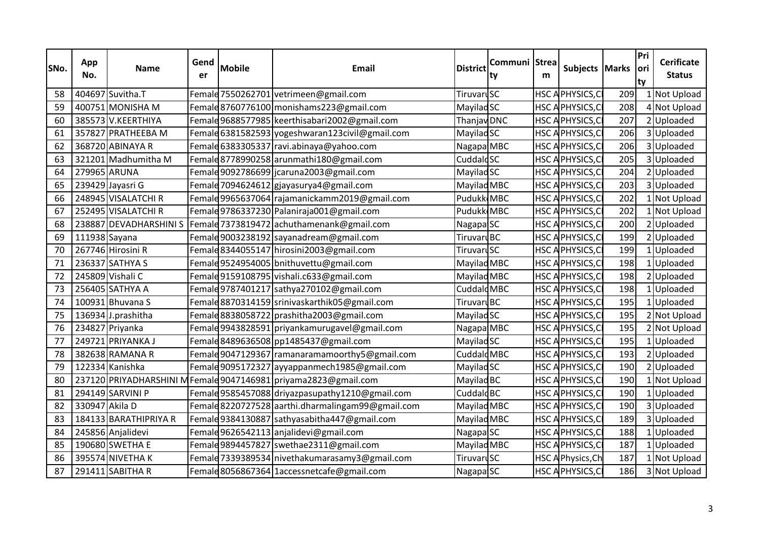| SNo. | App<br>No.     | Name                  | Gend<br>er | <b>Mobile</b> | <b>Email</b>                                                       | <b>District</b>        | Communi Strea<br>ty | m | Subjects Marks           |     | Pri<br> ori<br>ty | <b>Cerificate</b><br><b>Status</b> |
|------|----------------|-----------------------|------------|---------------|--------------------------------------------------------------------|------------------------|---------------------|---|--------------------------|-----|-------------------|------------------------------------|
| 58   |                | 404697 Suvitha.T      |            |               | Female 7550262701 vetrimeen@gmail.com                              | TiruvaruSC             |                     |   | HSC A PHYSICS, CI        | 209 |                   | 1 Not Upload                       |
| 59   |                | 400751 MONISHA M      |            |               | Female 8760776100 monishams 223@gmail.com                          | Mayilad <sub>SC</sub>  |                     |   | HSC A PHYSICS, CI        | 208 |                   | 4 Not Upload                       |
| 60   |                | 385573 V.KEERTHIYA    |            |               | Femald 9688577985 keerthisabari 2002@gmail.com                     | Thanjav DNC            |                     |   | <b>HSC A PHYSICS, CI</b> | 207 |                   | 2 Uploaded                         |
| 61   |                | 357827 PRATHEEBA M    |            |               | Female 6381582593 yogeshwaran123civil@gmail.com                    | Mayilad <sub>SC</sub>  |                     |   | <b>HSC APHYSICS, CI</b>  | 206 |                   | 3 Uploaded                         |
| 62   |                | 368720 ABINAYA R      |            |               | Female 6383305337 ravi.abinaya@yahoo.com                           | Nagapa MBC             |                     |   | HSC APHYSICS, CI         | 206 |                   | 3 Uploaded                         |
| 63   |                | 321201 Madhumitha M   |            |               | Female 8778990258 arunmathi180@gmail.com                           | Cuddald <sub>SC</sub>  |                     |   | HSC A PHYSICS, CI        | 205 |                   | 3 Uploaded                         |
| 64   | 279965 ARUNA   |                       |            |               | Female 9092786699 jcaruna 2003@gmail.com                           | Mayilad <sub>SC</sub>  |                     |   | HSC APHYSICS, CI         | 204 |                   | 2 Uploaded                         |
| 65   |                | 239429 Jayasri G      |            |               | Female 7094624612 gjayasurya4@gmail.com                            | Mayilad MBC            |                     |   | HSC APHYSICS, CI         | 203 |                   | 3 Uploaded                         |
| 66   |                | 248945 VISALATCHI R   |            |               | Female 9965637064   rajamanickamm2019@gmail.com                    | Pudukk MBC             |                     |   | <b>HSC APHYSICS, CI</b>  | 202 |                   | 1 Not Upload                       |
| 67   |                | 252495 VISALATCHI R   |            |               | Female 9786337230 Palaniraja001@gmail.com                          | Pudukk MBC             |                     |   | HSC APHYSICS, CI         | 202 |                   | 1 Not Upload                       |
| 68   |                |                       |            |               | 238887 DEVADHARSHINI S   Femald 7373819472 achuthamenank@gmail.com | Nagapa <sup>SC</sup>   |                     |   | <b>HSC APHYSICS, CI</b>  | 200 |                   | 2 Uploaded                         |
| 69   | 111938 Sayana  |                       |            |               | Female 9003238192 sayanadream@gmail.com                            | TiruvaruBC             |                     |   | <b>HSC APHYSICS, CI</b>  | 199 |                   | 2 Uploaded                         |
| 70   |                | 267746 Hirosini R     |            |               | Female 8344055147 hirosini2003@gmail.com                           | TiruvaruSC             |                     |   | HSC A PHYSICS, CI        | 199 |                   | 1 Uploaded                         |
| 71   |                | 236337 SATHYA S       |            |               | Femald 9524954005 bnithuvettu@gmail.com                            | Mayilad MBC            |                     |   | HSC APHYSICS, CI         | 198 |                   | 1 Uploaded                         |
| 72   |                | 245809 Vishali C      |            |               | Female 9159108795 vishali.c633@gmail.com                           | Mayilad MBC            |                     |   | HSC A PHYSICS, CI        | 198 |                   | 2 Uploaded                         |
| 73   |                | 256405 SATHYA A       |            |               | Femald 9787401217   sathya 270102@gmail.com                        | Cuddald <sub>MBC</sub> |                     |   | HSC APHYSICS, CI         | 198 |                   | 1 Uploaded                         |
| 74   |                | 100931 Bhuvana S      |            |               | Femald8870314159 srinivaskarthik05@gmail.com                       | TiruvaruBC             |                     |   | HSC A PHYSICS, CI        | 195 |                   | 1 Uploaded                         |
| 75   |                | 136934 J.prashitha    |            |               | Female 8838058722 prashitha 2003@gmail.com                         | Mayilad <sub>SC</sub>  |                     |   | <b>HSC APHYSICS, CI</b>  | 195 |                   | 2 Not Upload                       |
| 76   |                | 234827 Priyanka       |            |               | Femald 9943828591 priyankamurugavel@gmail.com                      | Nagapa MBC             |                     |   | HSC A PHYSICS, CI        | 195 |                   | 2 Not Upload                       |
| 77   |                | 249721 PRIYANKA J     |            |               | Female 8489636508 pp1485437@gmail.com                              | MayiladSC              |                     |   | <b>HSC A PHYSICS, CI</b> | 195 |                   | 1 Uploaded                         |
| 78   |                | 382638 RAMANA R       |            |               | Female 9047129367   ramanaramamoorthy 5@gmail.com                  | Cuddald <sub>MBC</sub> |                     |   | HSC A PHYSICS, CI        | 193 |                   | 2 Uploaded                         |
| 79   |                | 122334 Kanishka       |            |               | Female 9095172327 ayyappanmech1985@gmail.com                       | Mayilad <sub>SC</sub>  |                     |   | HSC A PHYSICS, CI        | 190 |                   | 2 Uploaded                         |
| 80   |                |                       |            |               | 237120 PRIYADHARSHINI MFemald 9047146981 priyama2823@gmail.com     | Mayilad <sub>BC</sub>  |                     |   | HSC A PHYSICS, CI        | 190 |                   | 1 Not Upload                       |
| 81   |                | 294149 SARVINI P      |            |               | Femald 9585457088 driyazpasupathy 1210@gmail.com                   | Cuddald <sub>BC</sub>  |                     |   | HSC A PHYSICS, CI        | 190 |                   | 1 Uploaded                         |
| 82   | 330947 Akila D |                       |            |               | Female 8220727528 arthi.dharmalingam99@gmail.com                   | Mayilad MBC            |                     |   | HSC A PHYSICS, CI        | 190 |                   | 3 Uploaded                         |
| 83   |                | 184133 BARATHIPRIYA R |            |               | Femald 9384130887 sathyasabitha447@gmail.com                       | Mayilad MBC            |                     |   | HSC A PHYSICS, CI        | 189 |                   | 3 Uploaded                         |
| 84   |                | 245856 Anjalidevi     |            |               | Female 9626542113 anjalidevi@gmail.com                             | Nagapa <sup>SC</sup>   |                     |   | <b>HSC APHYSICS, CI</b>  | 188 |                   | 1 Uploaded                         |
| 85   |                | 190680 SWETHA E       |            |               | Female9894457827 swethae2311@gmail.com                             | Mayilad MBC            |                     |   | HSC A PHYSICS, CI        | 187 |                   | 1 Uploaded                         |
| 86   |                | 395574 NIVETHA K      |            |               | Female 7339389534 nivethakumarasamy3@gmail.com                     | TiruvaruSC             |                     |   | <b>HSC A Physics, Ch</b> | 187 |                   | 1 Not Upload                       |
| 87   |                | 291411 SABITHA R      |            |               | Female 8056867364 1accessnetcafe@gmail.com                         | Nagapa <sup>SC</sup>   |                     |   | HSC A PHYSICS, CI        | 186 |                   | 3 Not Upload                       |